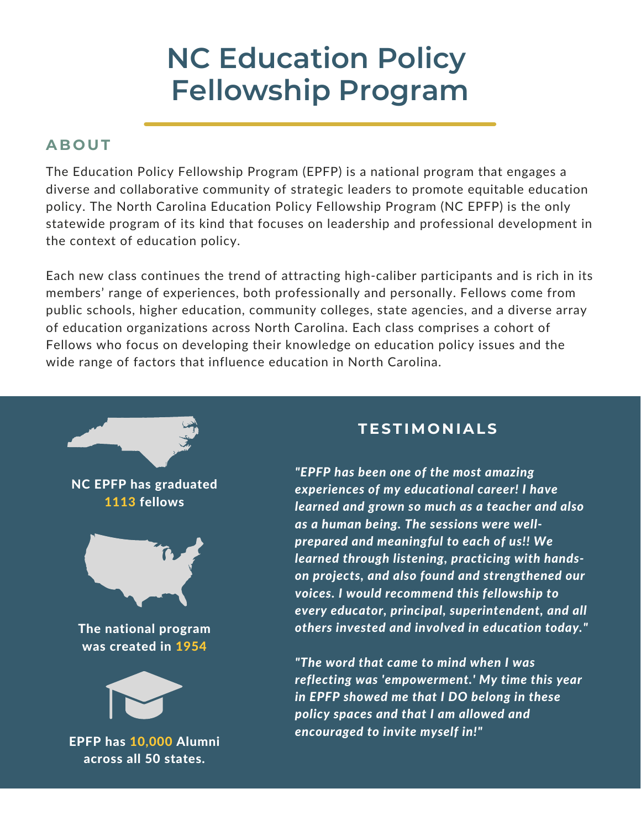# **NC Education Policy Fellowship Program**

## **AB O UT**

The Education Policy Fellowship Program (EPFP) is a national program that engages a diverse and collaborative community of strategic leaders to promote equitable education policy. The North Carolina Education Policy Fellowship Program (NC EPFP) is the only statewide program of its kind that focuses on leadership and professional development in the context of education policy.

Each new class continues the trend of attracting high-caliber participants and is rich in its members' range of experiences, both professionally and personally. Fellows come from public schools, higher education, community colleges, state agencies, and a diverse array of education organizations across North Carolina. Each class comprises a cohort of Fellows who focus on developing their knowledge on education policy issues and the wide range of factors that influence education in North Carolina.



### **TESTIMO N IALS**

*"EPFP has been one of the most amazing experiences of my educational career! I have learned and grown so much as a teacher and also as a human being. The sessions were wellprepared and meaningful to each of us!! We learned through listening, practicing with handson projects, and also found and strengthened our voices. I would recommend this fellowship to every educator, principal, superintendent, and all others invested and involved in education today."*

*"The word that came to mind when I was reflecting was 'empowerment.' My time this year in EPFP showed me that I DO belong in these policy spaces and that I am allowed and encouraged to invite myself in!"*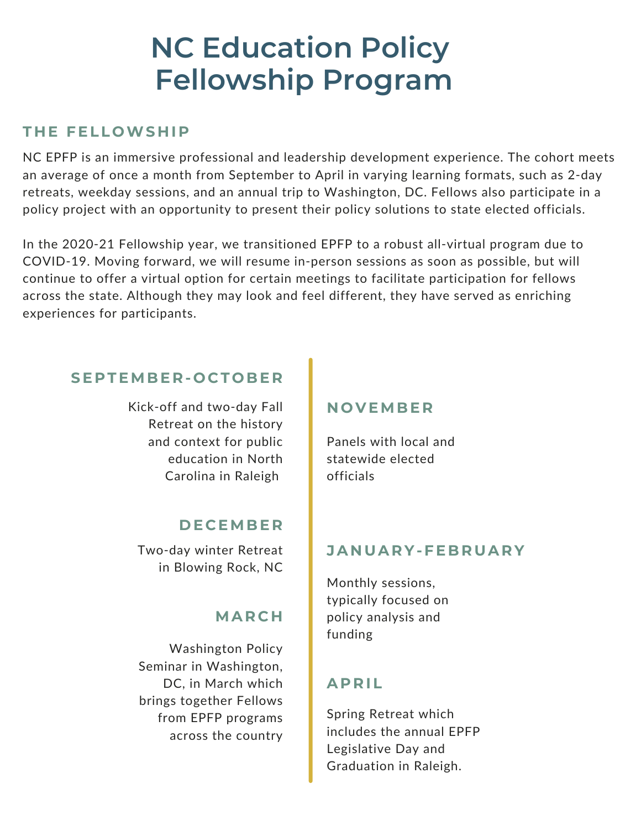# **NC Education Policy Fellowship Program**

#### **T H E FELL OWS H I P**

1 retreats, weekday sessions, and an annual trip to Washington, DC. Fellows also participate in a NC EPFP is an immersive professional and leadership development experience. The cohort meets an average of once a month from September to April in varying learning formats, such as 2-day policy project with an opportunity to present their policy solutions to state elected officials.

In the 2020-21 Fellowship year, we transitioned EPFP to a robust all-virtual program due to COVID-19. Moving forward, we will resume in-person sessions as soon as possible, but will continue to offer a virtual option for certain meetings to facilitate participation for fellows across the state. Although they may look and feel different, they have served as enriching experiences for participants.

### **SE P TEMBE R - O C T O BE R**

Kick-off and two-day Fall Retreat on the history and context for public education in North Carolina in Raleigh

#### **D E C EMBE R**

Two-day winter Retreat in Blowing Rock, NC

### **MAR C H**

Washington Policy Seminar in Washington, DC, in March which brings together Fellows from EPFP programs across the country

#### **N O V EMBE R**

Panels with local and statewide elected officials

#### **JA N UAR Y-FEBRUAR Y**

Monthly sessions, typically focused on policy analysis and funding

### **AP R IL**

Graduation in Raleigh. Legislative Day and Spring Retreat which includes the annual EPFP